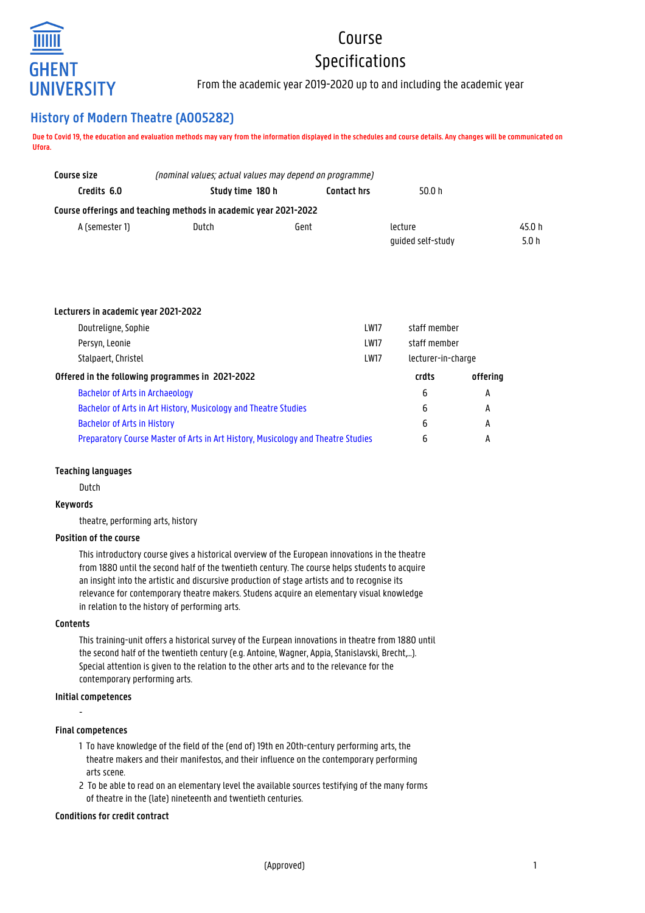

# Course Specifications

From the academic year 2019-2020 up to and including the academic year

# **History of Modern Theatre (A005282)**

**Due to Covid 19, the education and evaluation methods may vary from the information displayed in the schedules and course details. Any changes will be communicated on Ufora.**

| Course size    |                                                                  | (nominal values; actual values may depend on programme) |                   |        |
|----------------|------------------------------------------------------------------|---------------------------------------------------------|-------------------|--------|
| Credits 6.0    | Study time 180 h                                                 | <b>Contact hrs</b>                                      | 50.0 h            |        |
|                | Course offerings and teaching methods in academic year 2021-2022 |                                                         |                   |        |
| A (semester 1) | Dutch<br>Gent                                                    |                                                         | lecture           | 45.0 h |
|                |                                                                  |                                                         | quided self-study | 5.0 h  |

#### **Lecturers in academic year 2021-2022**

| Doutreligne, Sophie                                                              | <b>LW17</b> | staff member       |          |
|----------------------------------------------------------------------------------|-------------|--------------------|----------|
| Persyn, Leonie                                                                   | <b>LW17</b> | staff member       |          |
| Stalpaert, Christel                                                              | <b>LW17</b> | lecturer-in-charge |          |
| Offered in the following programmes in 2021-2022                                 |             | crdts              | offering |
| <b>Bachelor of Arts in Archaeology</b>                                           |             | 6                  | A        |
| Bachelor of Arts in Art History, Musicology and Theatre Studies                  |             |                    | A        |
| <b>Bachelor of Arts in History</b>                                               |             | 6                  | А        |
| Preparatory Course Master of Arts in Art History, Musicology and Theatre Studies |             |                    | А        |
|                                                                                  |             |                    |          |

# **Teaching languages**

Dutch

# **Keywords**

theatre, performing arts, history

# **Position of the course**

This introductory course gives a historical overview of the European innovations in the theatre from 1880 until the second half of the twentieth century. The course helps students to acquire an insight into the artistic and discursive production of stage artists and to recognise its relevance for contemporary theatre makers. Studens acquire an elementary visual knowledge in relation to the history of performing arts.

# **Contents**

This training-unit offers a historical survey of the Eurpean innovations in theatre from 1880 until the second half of the twentieth century (e.g. Antoine, Wagner, Appia, Stanislavski, Brecht,…). Special attention is given to the relation to the other arts and to the relevance for the contemporary performing arts.

# **Initial competences**

-

# **Final competences**

- 1 To have knowledge of the field of the (end of) 19th en 20th-century performing arts, the 1 theatre makers and their manifestos, and their influence on the contemporary performing arts scene.
- 2 To be able to read on an elementary level the available sources testifying of the many forms of theatre in the (late) nineteenth and twentieth centuries.

# **Conditions for credit contract**